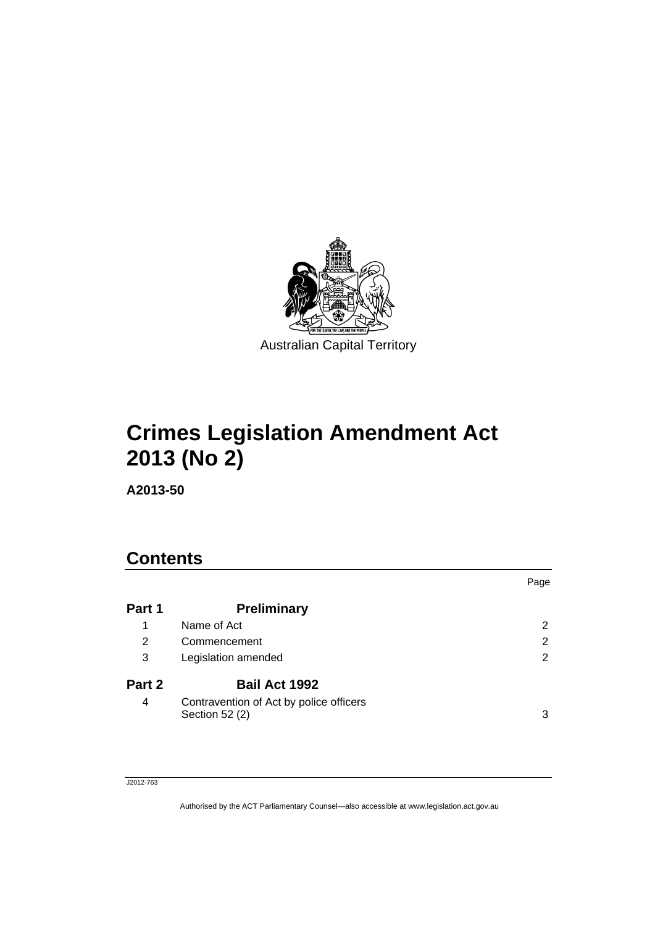

# **Crimes Legislation Amendment Act 2013 (No 2)**

**A2013-50** 

# **Contents**

|        |                                                           | Page |
|--------|-----------------------------------------------------------|------|
| Part 1 | <b>Preliminary</b>                                        |      |
| 1      | Name of Act                                               | 2    |
| 2      | Commencement                                              | 2    |
| 3      | Legislation amended                                       | 2    |
| Part 2 | <b>Bail Act 1992</b>                                      |      |
| 4      | Contravention of Act by police officers<br>Section 52 (2) | 3    |

#### J2012-763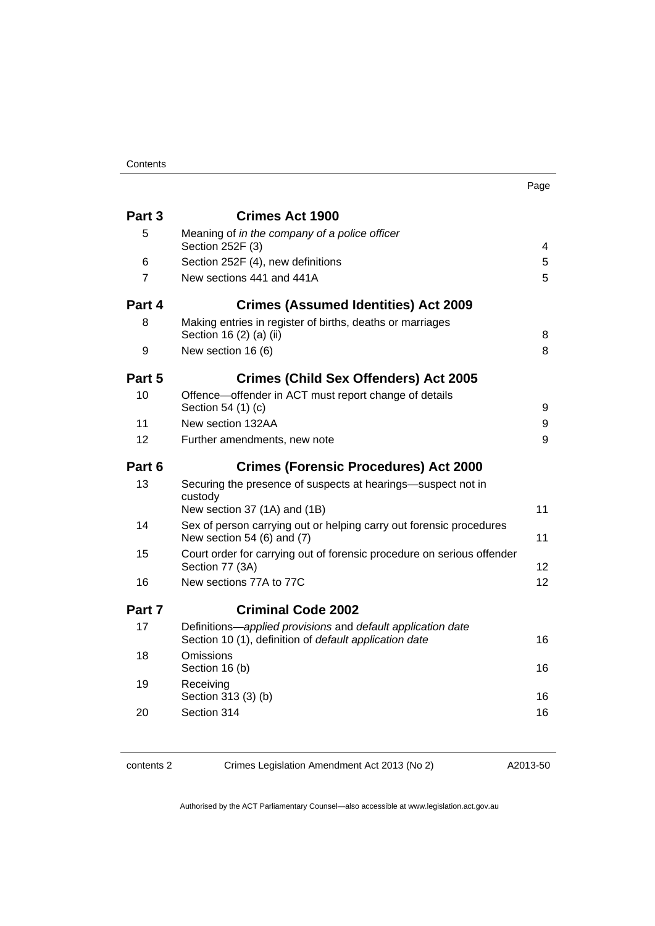| ×<br>× |  |
|--------|--|

| Part 3         | <b>Crimes Act 1900</b>                                                                                                |                |
|----------------|-----------------------------------------------------------------------------------------------------------------------|----------------|
| 5              | Meaning of in the company of a police officer<br>Section 252F (3)                                                     | $\overline{4}$ |
| 6              | Section 252F (4), new definitions                                                                                     | 5              |
| $\overline{7}$ | New sections 441 and 441A                                                                                             | 5              |
| Part 4         | <b>Crimes (Assumed Identities) Act 2009</b>                                                                           |                |
| 8              | Making entries in register of births, deaths or marriages<br>Section 16 (2) (a) (ii)                                  | 8              |
| 9              | New section 16 (6)                                                                                                    | 8              |
| Part 5         | <b>Crimes (Child Sex Offenders) Act 2005</b>                                                                          |                |
| 10             | Offence-offender in ACT must report change of details<br>Section 54 (1) (c)                                           | 9              |
| 11             | New section 132AA                                                                                                     | 9              |
| 12             | Further amendments, new note                                                                                          | 9              |
| Part 6         | <b>Crimes (Forensic Procedures) Act 2000</b>                                                                          |                |
| 13             | Securing the presence of suspects at hearings-suspect not in<br>custody<br>New section 37 (1A) and (1B)               | 11             |
| 14             | Sex of person carrying out or helping carry out forensic procedures<br>New section 54 (6) and $(7)$                   | 11             |
| 15             | Court order for carrying out of forensic procedure on serious offender<br>Section 77 (3A)                             | 12             |
| 16             | New sections 77A to 77C                                                                                               | 12             |
| Part 7         | <b>Criminal Code 2002</b>                                                                                             |                |
| 17             | Definitions-applied provisions and default application date<br>Section 10 (1), definition of default application date | 16             |
| 18             | Omissions<br>Section 16 (b)                                                                                           | 16             |
| 19             | Receiving<br>Section 313 (3) (b)                                                                                      | 16             |
| 20             | Section 314                                                                                                           | 16             |
|                |                                                                                                                       |                |

contents 2 Crimes Legislation Amendment Act 2013 (No 2)

A2013-50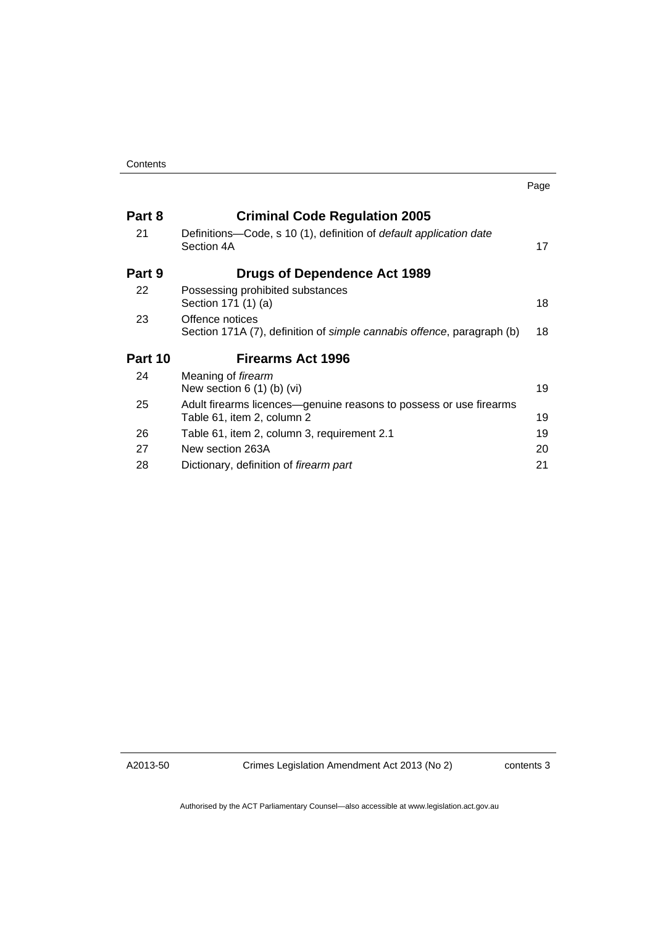|                                                                                                  | Page |
|--------------------------------------------------------------------------------------------------|------|
| <b>Criminal Code Regulation 2005</b>                                                             |      |
| Definitions—Code, s 10 (1), definition of <i>default application date</i><br>Section 4A          | 17   |
| <b>Drugs of Dependence Act 1989</b>                                                              |      |
| Possessing prohibited substances<br>Section 171 (1) (a)                                          | 18   |
| Offence notices<br>Section 171A (7), definition of simple cannabis offence, paragraph (b)        | 18   |
| <b>Firearms Act 1996</b>                                                                         |      |
| Meaning of firearm<br>New section $6(1)$ (b) (vi)                                                | 19   |
| Adult firearms licences-genuine reasons to possess or use firearms<br>Table 61, item 2, column 2 | 19   |
| Table 61, item 2, column 3, requirement 2.1                                                      | 19   |
| New section 263A                                                                                 | 20   |
| Dictionary, definition of firearm part                                                           | 21   |
|                                                                                                  |      |

A2013-50

Crimes Legislation Amendment Act 2013 (No 2)

contents 3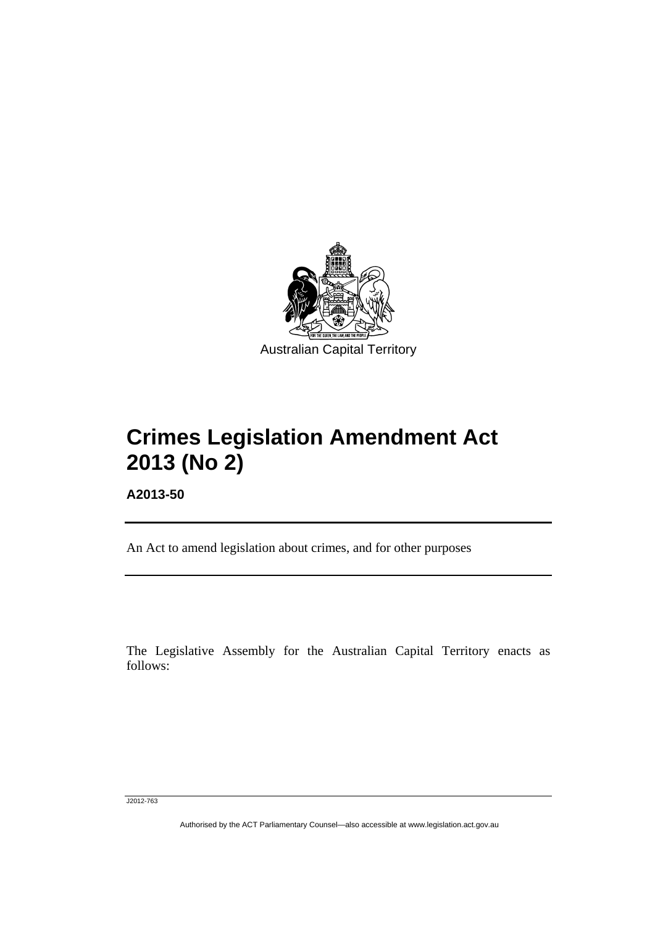

# **Crimes Legislation Amendment Act 2013 (No 2)**

**A2013-50** 

l

An Act to amend legislation about crimes, and for other purposes

The Legislative Assembly for the Australian Capital Territory enacts as follows:

J2012-763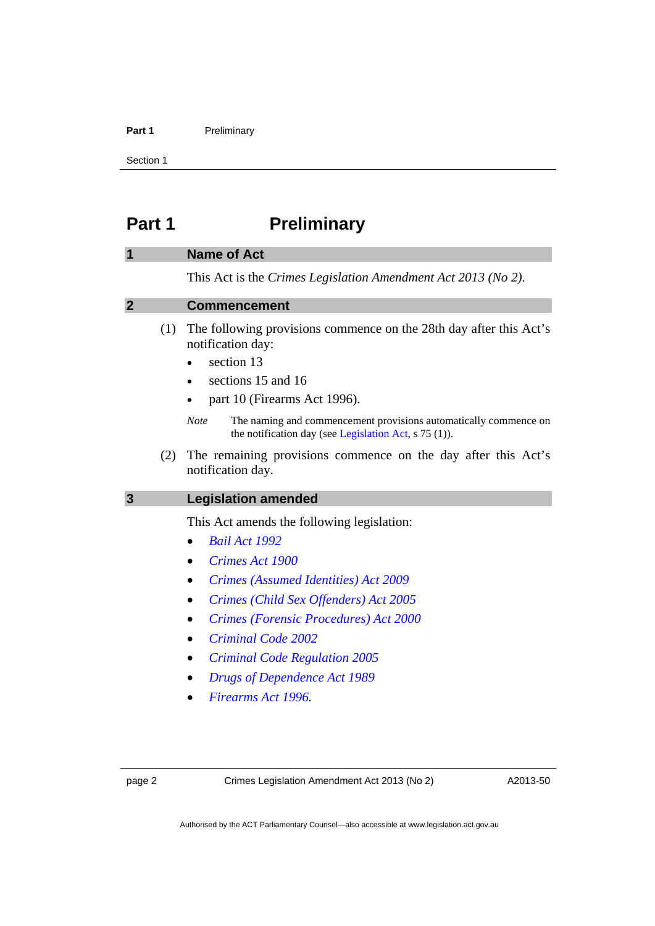#### Part 1 **Preliminary**

Section 1

# <span id="page-5-0"></span>**Part 1** Preliminary

### <span id="page-5-1"></span>**1 Name of Act**

This Act is the *Crimes Legislation Amendment Act 2013 (No 2)*.

#### <span id="page-5-2"></span>**2 Commencement**

- (1) The following provisions commence on the 28th day after this Act's notification day:
	- section 13
	- sections 15 and 16
	- part 10 (Firearms Act 1996).
	- *Note* The naming and commencement provisions automatically commence on the notification day (see [Legislation Act,](http://www.legislation.act.gov.au/a/2001-14) s 75 (1)).
- (2) The remaining provisions commence on the day after this Act's notification day.

#### <span id="page-5-3"></span>**3 Legislation amended**

This Act amends the following legislation:

- *[Bail Act 1992](http://www.legislation.act.gov.au/a/1992-8)*
- *[Crimes Act 1900](http://www.legislation.act.gov.au/a/1900-40)*
- *[Crimes \(Assumed Identities\) Act 2009](http://www.legislation.act.gov.au/a/2009-33)*
- *[Crimes \(Child Sex Offenders\) Act 2005](http://www.legislation.act.gov.au/a/2005-30)*
- *[Crimes \(Forensic Procedures\) Act 2000](http://www.legislation.act.gov.au/a/2000-61)*
- *[Criminal Code 2002](http://www.legislation.act.gov.au/a/2002-51)*
- *[Criminal Code Regulation 2005](http://www.legislation.act.gov.au/sl/2005-2)*
- *[Drugs of Dependence Act 1989](http://www.legislation.act.gov.au/a/alt_a1989-11co)*
- *[Firearms Act 1996.](http://www.legislation.act.gov.au/a/1996-74)*

page 2 Crimes Legislation Amendment Act 2013 (No 2)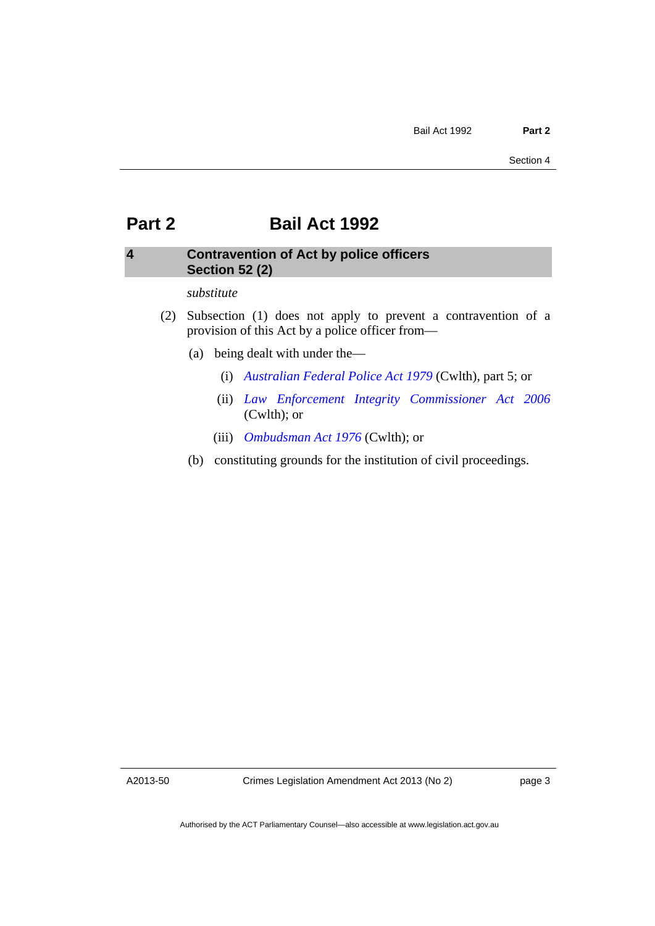# <span id="page-6-0"></span>**Part 2 Bail Act 1992**

# <span id="page-6-1"></span>**4 Contravention of Act by police officers Section 52 (2)**

#### *substitute*

- (2) Subsection (1) does not apply to prevent a contravention of a provision of this Act by a police officer from—
	- (a) being dealt with under the—
		- (i) *[Australian Federal Police Act 1979](http://www.comlaw.gov.au/Series/C2004A02068)* (Cwlth), part 5; or
		- (ii) *[Law Enforcement Integrity Commissioner Act 2006](http://www.comlaw.gov.au/Series/C2006A00085)* (Cwlth); or
		- (iii) *[Ombudsman Act 1976](http://www.comlaw.gov.au/Series/C2004A01611)* (Cwlth); or
	- (b) constituting grounds for the institution of civil proceedings.

A2013-50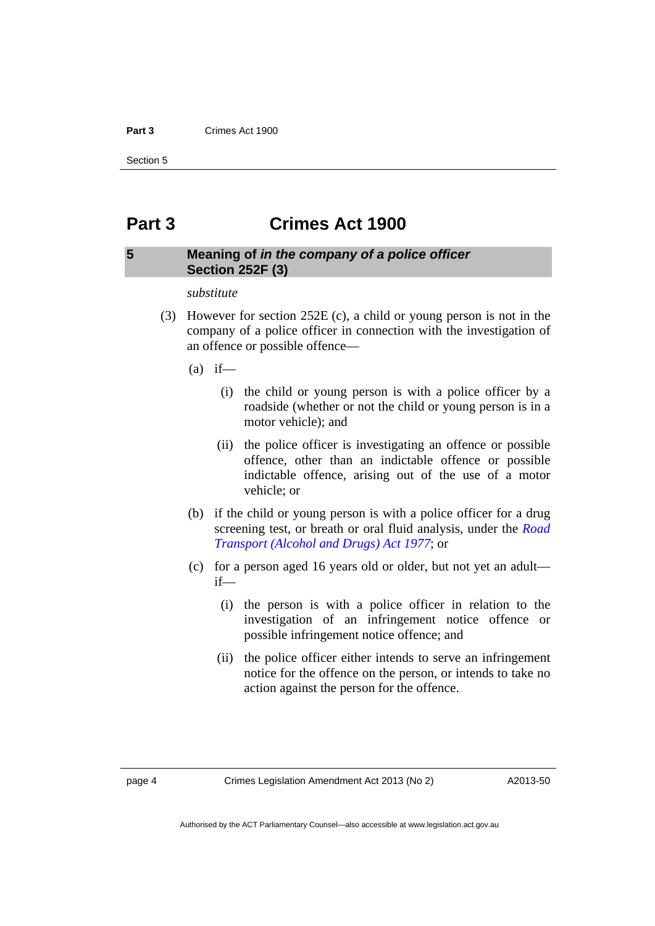#### **Part 3** Crimes Act 1900

Section 5

# <span id="page-7-0"></span>**Part 3 Crimes Act 1900**

## <span id="page-7-1"></span>**5 Meaning of** *in the company of a police officer* **Section 252F (3)**

#### *substitute*

- (3) However for section 252E (c), a child or young person is not in the company of a police officer in connection with the investigation of an offence or possible offence—
	- $(a)$  if—
		- (i) the child or young person is with a police officer by a roadside (whether or not the child or young person is in a motor vehicle); and
		- (ii) the police officer is investigating an offence or possible offence, other than an indictable offence or possible indictable offence, arising out of the use of a motor vehicle; or
	- (b) if the child or young person is with a police officer for a drug screening test, or breath or oral fluid analysis, under the *[Road](http://www.legislation.act.gov.au/a/1977-17)  [Transport \(Alcohol and Drugs\) Act 1977](http://www.legislation.act.gov.au/a/1977-17)*; or
	- (c) for a person aged 16 years old or older, but not yet an adult if—
		- (i) the person is with a police officer in relation to the investigation of an infringement notice offence or possible infringement notice offence; and
		- (ii) the police officer either intends to serve an infringement notice for the offence on the person, or intends to take no action against the person for the offence.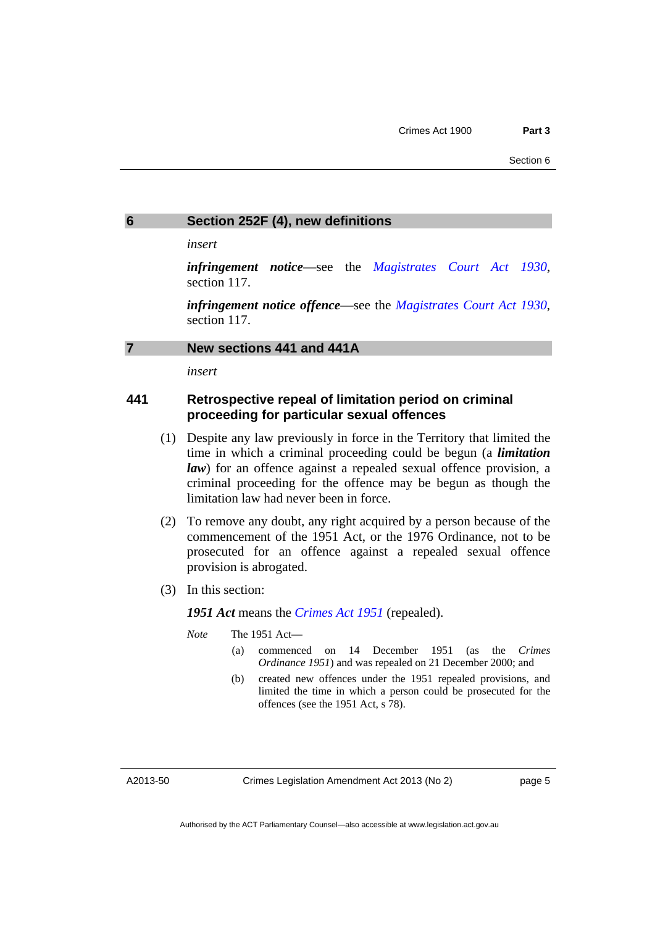## <span id="page-8-0"></span>**6 Section 252F (4), new definitions**

*insert* 

*infringement notice*—see the *[Magistrates Court Act 1930](http://www.legislation.act.gov.au/a/1930-21)*, section 117.

*infringement notice offence*—see the *[Magistrates Court Act 1930](http://www.legislation.act.gov.au/a/1930-21)*, section 117.

#### <span id="page-8-1"></span>**7 New sections 441 and 441A**

*insert* 

# **441 Retrospective repeal of limitation period on criminal proceeding for particular sexual offences**

- (1) Despite any law previously in force in the Territory that limited the time in which a criminal proceeding could be begun (a *limitation law*) for an offence against a repealed sexual offence provision, a criminal proceeding for the offence may be begun as though the limitation law had never been in force.
- (2) To remove any doubt, any right acquired by a person because of the commencement of the 1951 Act, or the 1976 Ordinance, not to be prosecuted for an offence against a repealed sexual offence provision is abrogated.
- (3) In this section:

*1951 Act* means the *[Crimes Act 1951](http://www.legislation.act.gov.au/a/1951-14/default.asp)* (repealed).

*Note* The 1951 Act**—** 

- (a) commenced on 14 December 1951 (as the *Crimes Ordinance 1951*) and was repealed on 21 December 2000; and
- (b) created new offences under the 1951 repealed provisions, and limited the time in which a person could be prosecuted for the offences (see the 1951 Act, s 78).

A2013-50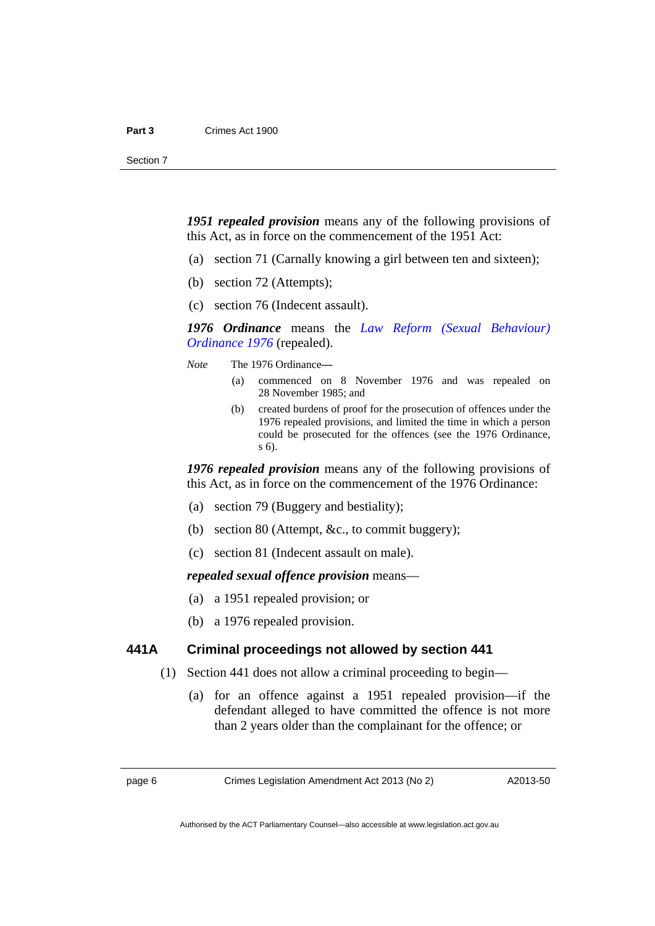*1951 repealed provision* means any of the following provisions of this Act, as in force on the commencement of the 1951 Act:

- (a) section 71 (Carnally knowing a girl between ten and sixteen);
- (b) section 72 (Attempts);
- (c) section 76 (Indecent assault).

*1976 Ordinance* means the *[Law Reform \(Sexual Behaviour\)](http://www.legislation.act.gov.au/ord/1976-55/default.asp)  [Ordinance 1976](http://www.legislation.act.gov.au/ord/1976-55/default.asp)* (repealed).

*Note* The 1976 Ordinance**—** 

- (a) commenced on 8 November 1976 and was repealed on 28 November 1985; and
- (b) created burdens of proof for the prosecution of offences under the 1976 repealed provisions, and limited the time in which a person could be prosecuted for the offences (see the 1976 Ordinance, s 6).

*1976 repealed provision* means any of the following provisions of this Act, as in force on the commencement of the 1976 Ordinance:

- (a) section 79 (Buggery and bestiality);
- (b) section 80 (Attempt, &c., to commit buggery);
- (c) section 81 (Indecent assault on male).

*repealed sexual offence provision* means—

- (a) a 1951 repealed provision; or
- (b) a 1976 repealed provision.

#### **441A Criminal proceedings not allowed by section 441**

- (1) Section 441 does not allow a criminal proceeding to begin—
	- (a) for an offence against a 1951 repealed provision—if the defendant alleged to have committed the offence is not more than 2 years older than the complainant for the offence; or

page 6 Crimes Legislation Amendment Act 2013 (No 2)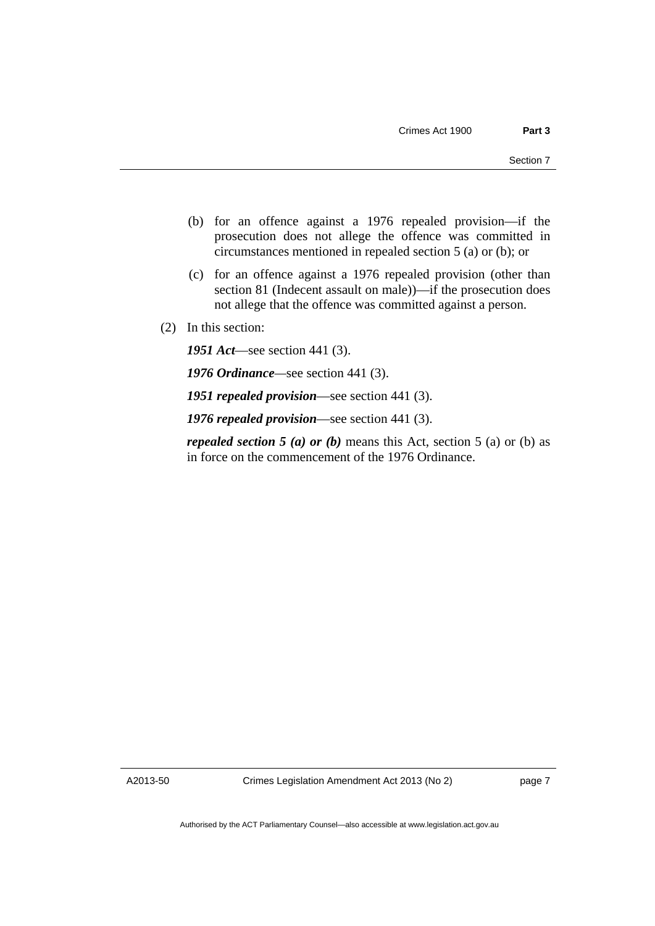- (b) for an offence against a 1976 repealed provision—if the prosecution does not allege the offence was committed in circumstances mentioned in repealed section 5 (a) or (b); or
- (c) for an offence against a 1976 repealed provision (other than section 81 (Indecent assault on male))—if the prosecution does not allege that the offence was committed against a person.
- (2) In this section:

*1951 Act*—see section 441 (3).

*1976 Ordinance—*see section 441 (3).

*1951 repealed provision*—see section 441 (3).

*1976 repealed provision*—see section 441 (3).

*repealed section 5 (a) or (b)* means this Act, section 5 (a) or (b) as in force on the commencement of the 1976 Ordinance.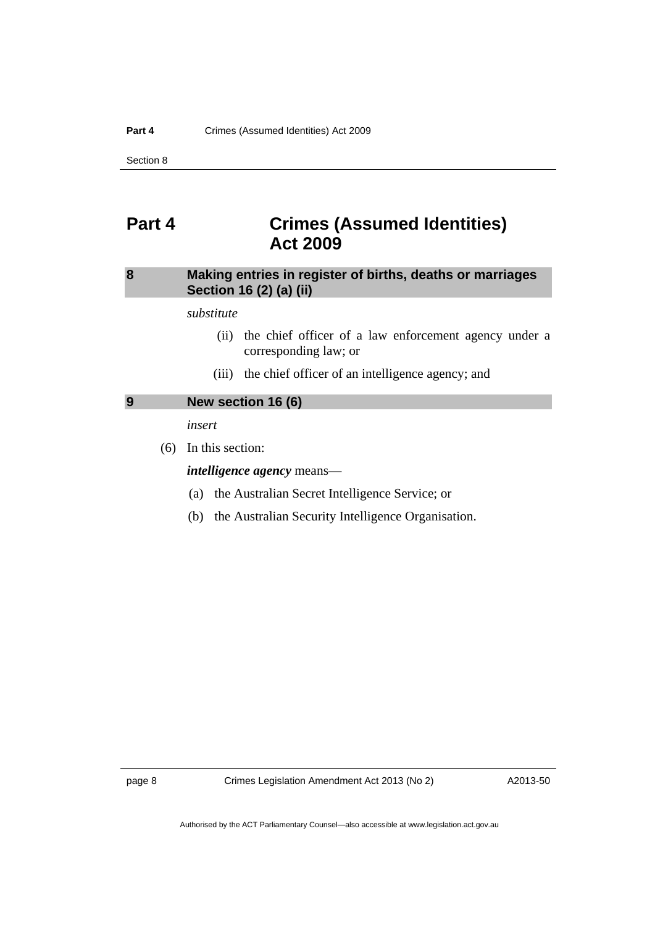Section 8

# <span id="page-11-0"></span>**Part 4 Crimes (Assumed Identities) Act 2009**

# <span id="page-11-1"></span>**8 Making entries in register of births, deaths or marriages Section 16 (2) (a) (ii)**

*substitute* 

- (ii) the chief officer of a law enforcement agency under a corresponding law; or
- (iii) the chief officer of an intelligence agency; and

# <span id="page-11-2"></span>**9 New section 16 (6)**

*insert* 

(6) In this section:

#### *intelligence agency* means—

- (a) the Australian Secret Intelligence Service; or
- (b) the Australian Security Intelligence Organisation.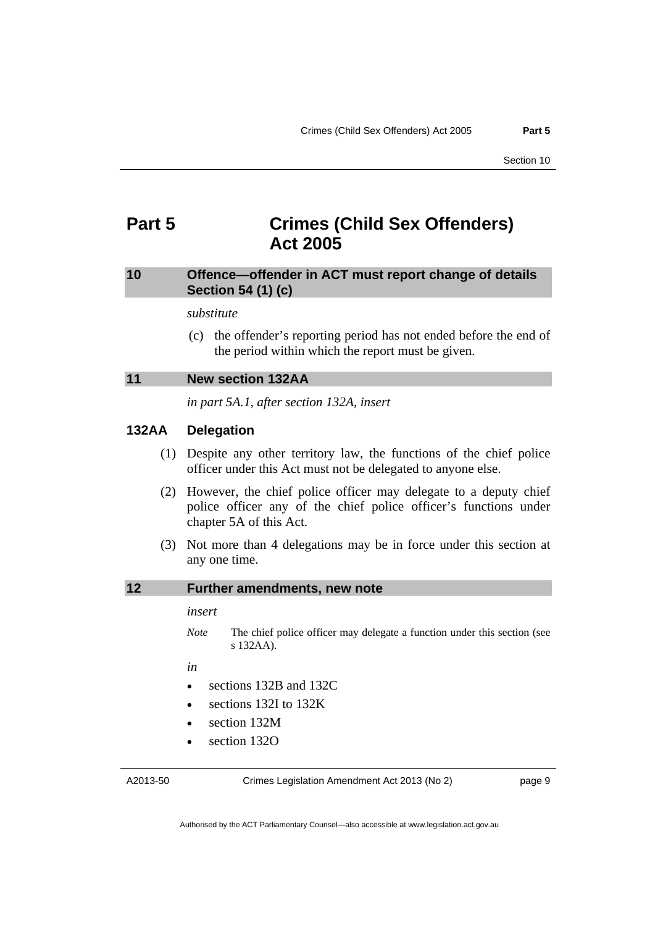# <span id="page-12-0"></span>**Part 5 Crimes (Child Sex Offenders) Act 2005**

# <span id="page-12-1"></span>**10 Offence—offender in ACT must report change of details Section 54 (1) (c)**

#### *substitute*

 (c) the offender's reporting period has not ended before the end of the period within which the report must be given.

#### <span id="page-12-2"></span>**11 New section 132AA**

*in part 5A.1, after section 132A, insert* 

### **132AA Delegation**

- (1) Despite any other territory law, the functions of the chief police officer under this Act must not be delegated to anyone else.
- (2) However, the chief police officer may delegate to a deputy chief police officer any of the chief police officer's functions under chapter 5A of this Act.
- (3) Not more than 4 delegations may be in force under this section at any one time.

# <span id="page-12-3"></span>**12 Further amendments, new note**

#### *insert*

*Note* The chief police officer may delegate a function under this section (see s 132AA).

*in* 

- sections 132B and 132C
- sections 132I to 132K
- section 132M
- section 132O

A2013-50

Crimes Legislation Amendment Act 2013 (No 2)

page 9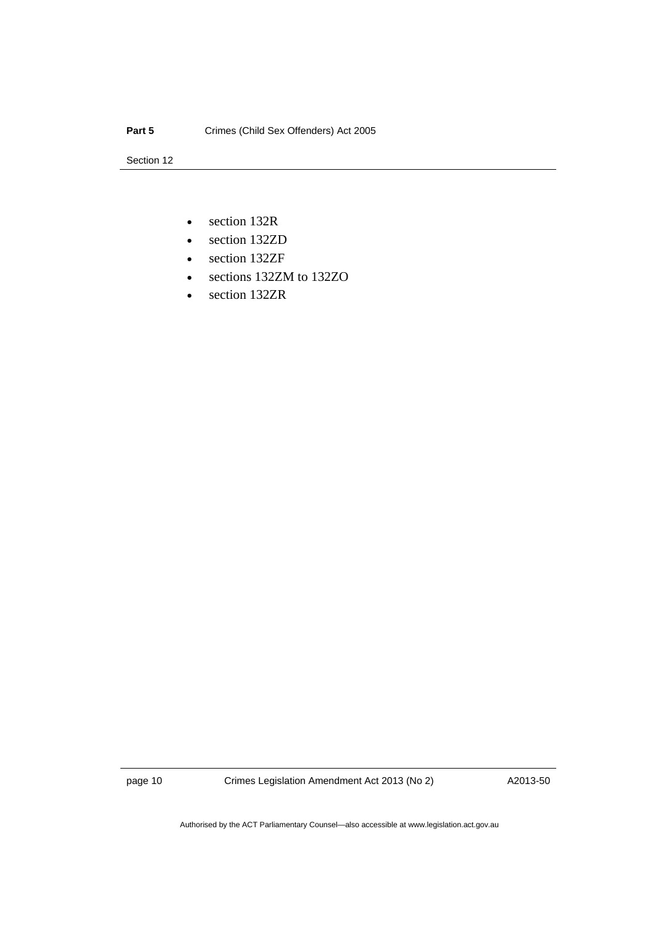Section 12

- section 132R
- section 132ZD
- section 132ZF
- sections 132ZM to 132ZO
- section 132ZR

page 10 Crimes Legislation Amendment Act 2013 (No 2)

A2013-50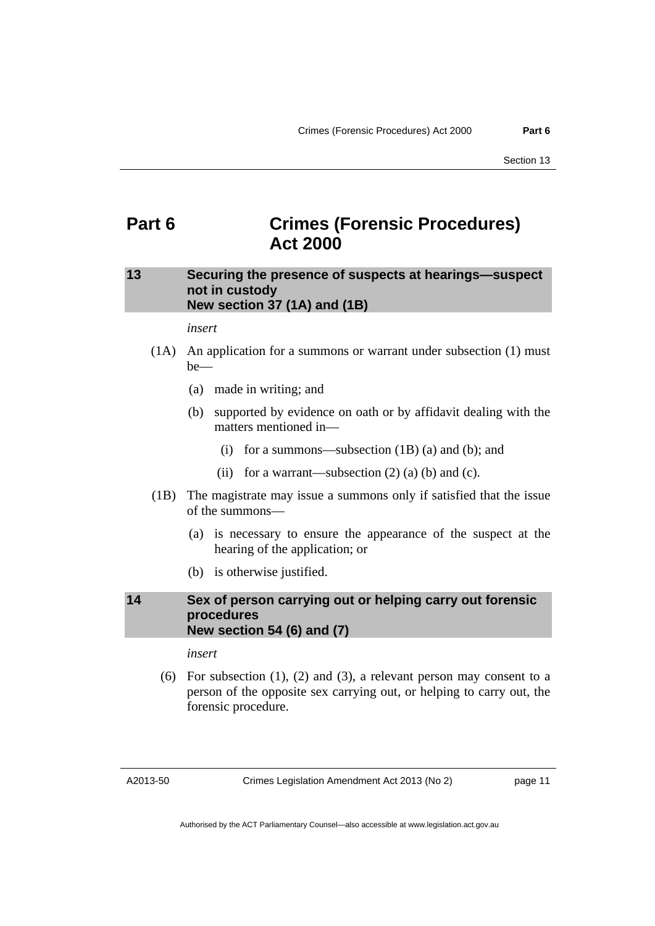# <span id="page-14-0"></span>**Part 6 Crimes (Forensic Procedures) Act 2000**

# <span id="page-14-1"></span>**13 Securing the presence of suspects at hearings—suspect not in custody New section 37 (1A) and (1B)**

#### *insert*

- (1A) An application for a summons or warrant under subsection (1) must be—
	- (a) made in writing; and
	- (b) supported by evidence on oath or by affidavit dealing with the matters mentioned in—
		- (i) for a summons—subsection (1B) (a) and (b); and
		- (ii) for a warrant—subsection  $(2)$  (a) (b) and (c).
- (1B) The magistrate may issue a summons only if satisfied that the issue of the summons—
	- (a) is necessary to ensure the appearance of the suspect at the hearing of the application; or
	- (b) is otherwise justified.

## <span id="page-14-2"></span>**14 Sex of person carrying out or helping carry out forensic procedures New section 54 (6) and (7)**

*insert* 

 (6) For subsection (1), (2) and (3), a relevant person may consent to a person of the opposite sex carrying out, or helping to carry out, the forensic procedure.

A2013-50

Crimes Legislation Amendment Act 2013 (No 2)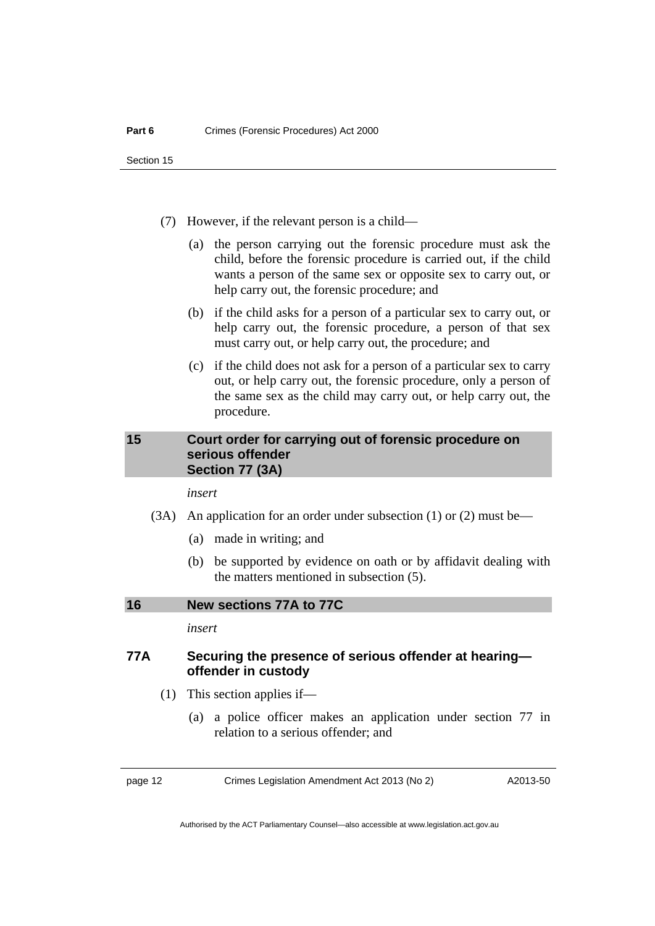Section 15

- (7) However, if the relevant person is a child—
	- (a) the person carrying out the forensic procedure must ask the child, before the forensic procedure is carried out, if the child wants a person of the same sex or opposite sex to carry out, or help carry out, the forensic procedure; and
	- (b) if the child asks for a person of a particular sex to carry out, or help carry out, the forensic procedure, a person of that sex must carry out, or help carry out, the procedure; and
	- (c) if the child does not ask for a person of a particular sex to carry out, or help carry out, the forensic procedure, only a person of the same sex as the child may carry out, or help carry out, the procedure.

### <span id="page-15-0"></span>**15 Court order for carrying out of forensic procedure on serious offender Section 77 (3A)**

*insert* 

- (3A) An application for an order under subsection (1) or (2) must be—
	- (a) made in writing; and
	- (b) be supported by evidence on oath or by affidavit dealing with the matters mentioned in subsection (5).

<span id="page-15-1"></span>**16 New sections 77A to 77C** 

*insert* 

## **77A Securing the presence of serious offender at hearing offender in custody**

- (1) This section applies if—
	- (a) a police officer makes an application under section 77 in relation to a serious offender; and

page 12 Crimes Legislation Amendment Act 2013 (No 2)

A2013-50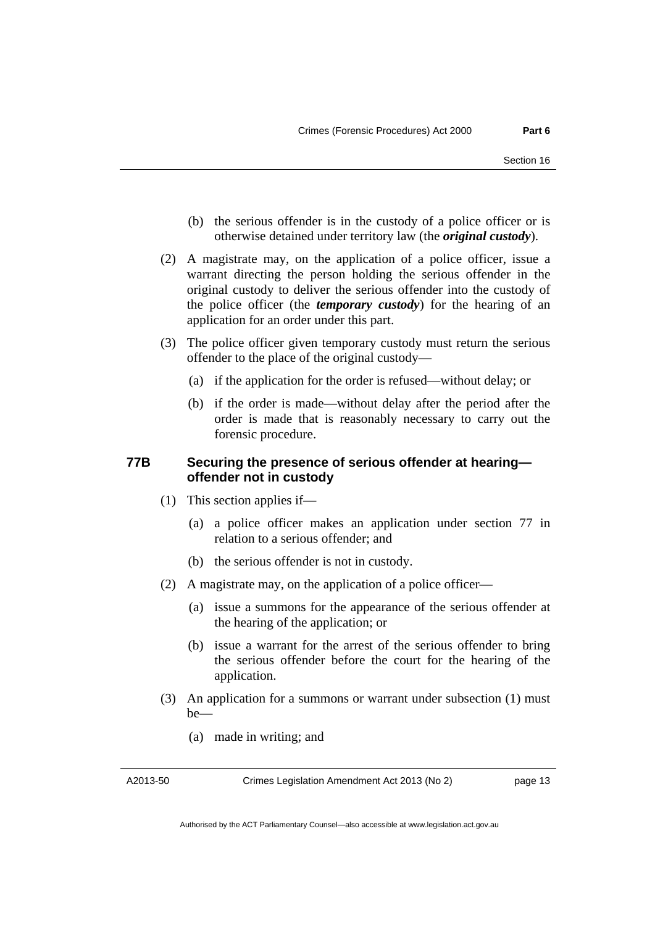- (b) the serious offender is in the custody of a police officer or is otherwise detained under territory law (the *original custody*).
- (2) A magistrate may, on the application of a police officer, issue a warrant directing the person holding the serious offender in the original custody to deliver the serious offender into the custody of the police officer (the *temporary custody*) for the hearing of an application for an order under this part.
- (3) The police officer given temporary custody must return the serious offender to the place of the original custody—
	- (a) if the application for the order is refused—without delay; or
	- (b) if the order is made—without delay after the period after the order is made that is reasonably necessary to carry out the forensic procedure.

## **77B Securing the presence of serious offender at hearing offender not in custody**

- (1) This section applies if—
	- (a) a police officer makes an application under section 77 in relation to a serious offender; and
	- (b) the serious offender is not in custody.
- (2) A magistrate may, on the application of a police officer—
	- (a) issue a summons for the appearance of the serious offender at the hearing of the application; or
	- (b) issue a warrant for the arrest of the serious offender to bring the serious offender before the court for the hearing of the application.
- (3) An application for a summons or warrant under subsection (1) must be—
	- (a) made in writing; and

A2013-50

Crimes Legislation Amendment Act 2013 (No 2)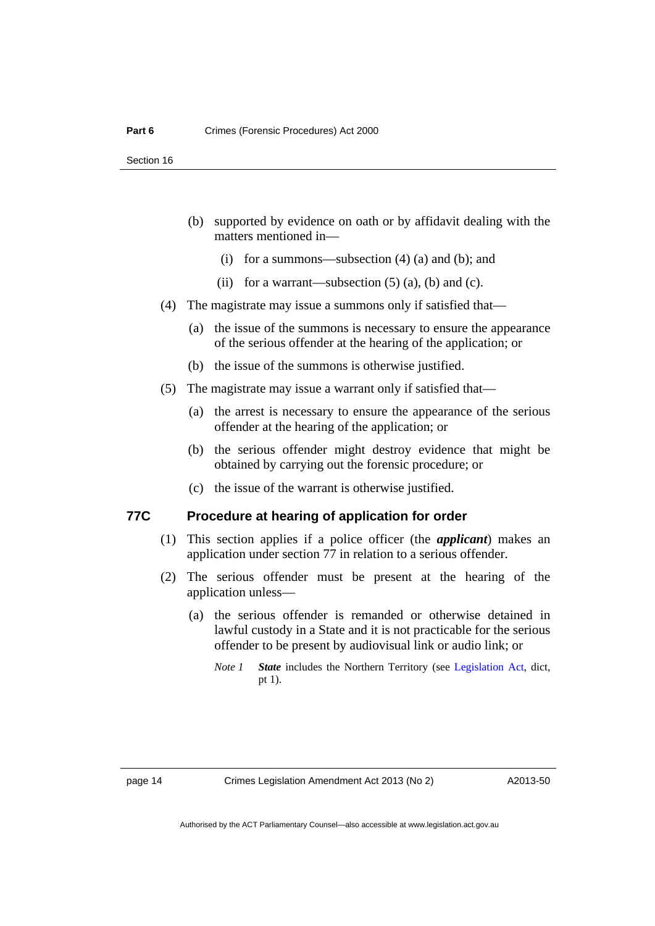- (b) supported by evidence on oath or by affidavit dealing with the matters mentioned in—
	- (i) for a summons—subsection (4) (a) and (b); and
	- (ii) for a warrant—subsection  $(5)$   $(a)$ ,  $(b)$  and  $(c)$ .
- (4) The magistrate may issue a summons only if satisfied that—
	- (a) the issue of the summons is necessary to ensure the appearance of the serious offender at the hearing of the application; or
	- (b) the issue of the summons is otherwise justified.
- (5) The magistrate may issue a warrant only if satisfied that—
	- (a) the arrest is necessary to ensure the appearance of the serious offender at the hearing of the application; or
	- (b) the serious offender might destroy evidence that might be obtained by carrying out the forensic procedure; or
	- (c) the issue of the warrant is otherwise justified.

# **77C Procedure at hearing of application for order**

- (1) This section applies if a police officer (the *applicant*) makes an application under section 77 in relation to a serious offender.
- (2) The serious offender must be present at the hearing of the application unless—
	- (a) the serious offender is remanded or otherwise detained in lawful custody in a State and it is not practicable for the serious offender to be present by audiovisual link or audio link; or
		- *Note 1 State* includes the Northern Territory (see [Legislation Act](http://www.legislation.act.gov.au/a/2001-14), dict, pt 1).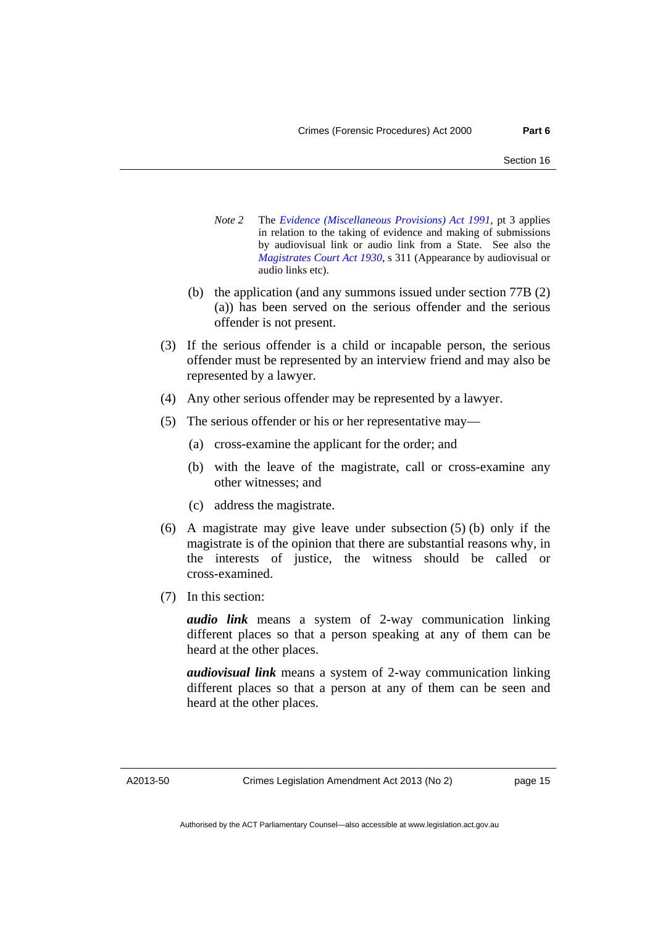- *Note 2* The *[Evidence \(Miscellaneous Provisions\) Act 1991](http://www.legislation.act.gov.au/a/1991-34)*, pt 3 applies in relation to the taking of evidence and making of submissions by audiovisual link or audio link from a State. See also the *[Magistrates Court Act 1930](http://www.legislation.act.gov.au/a/1930-21)*, s 311 (Appearance by audiovisual or audio links etc).
- (b) the application (and any summons issued under section 77B (2) (a)) has been served on the serious offender and the serious offender is not present.
- (3) If the serious offender is a child or incapable person, the serious offender must be represented by an interview friend and may also be represented by a lawyer.
- (4) Any other serious offender may be represented by a lawyer.
- (5) The serious offender or his or her representative may—
	- (a) cross-examine the applicant for the order; and
	- (b) with the leave of the magistrate, call or cross-examine any other witnesses; and
	- (c) address the magistrate.
- (6) A magistrate may give leave under subsection (5) (b) only if the magistrate is of the opinion that there are substantial reasons why, in the interests of justice, the witness should be called or cross-examined.
- (7) In this section:

*audio link* means a system of 2-way communication linking different places so that a person speaking at any of them can be heard at the other places.

*audiovisual link* means a system of 2-way communication linking different places so that a person at any of them can be seen and heard at the other places.

A2013-50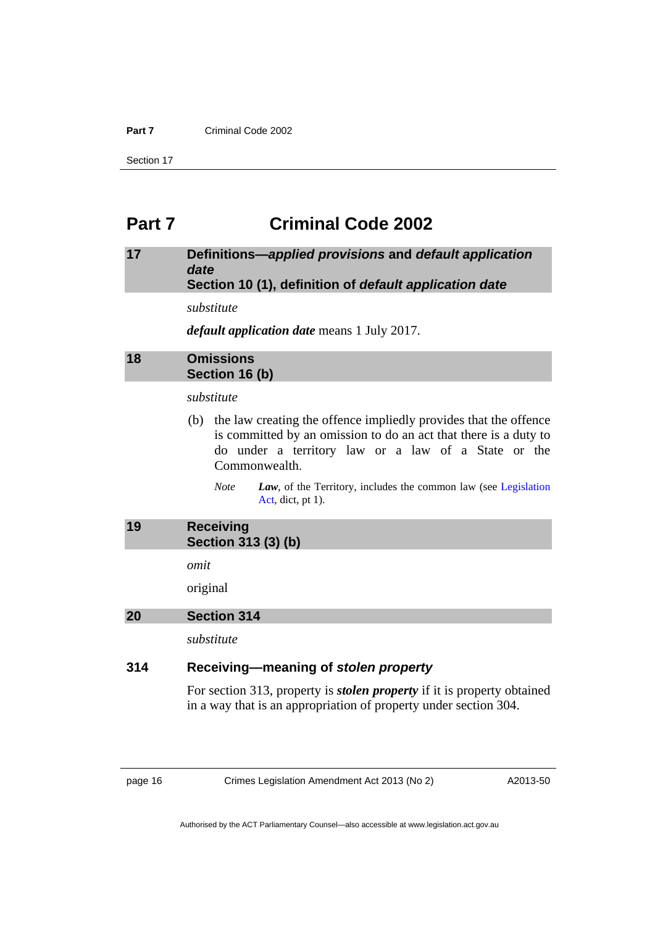#### **Part 7** Criminal Code 2002

Section 17

# <span id="page-19-0"></span>**Part 7 Criminal Code 2002**

## <span id="page-19-1"></span>**17 Definitions—***applied provisions* **and** *default application date* **Section 10 (1), definition of** *default application date*

*substitute* 

*default application date* means 1 July 2017.

# <span id="page-19-2"></span>**18 Omissions Section 16 (b)**

#### *substitute*

- (b) the law creating the offence impliedly provides that the offence is committed by an omission to do an act that there is a duty to do under a territory law or a law of a State or the Commonwealth.
	- *Note Law*, of the Territory, includes the common law (see [Legislation](http://www.legislation.act.gov.au/a/2001-14)  [Act,](http://www.legislation.act.gov.au/a/2001-14) dict, pt 1).

<span id="page-19-3"></span>

| 19 | <b>Receiving</b>    |
|----|---------------------|
|    | Section 313 (3) (b) |

*omit* 

original

#### <span id="page-19-4"></span>**20 Section 314**

*substitute* 

# **314 Receiving—meaning of** *stolen property*

For section 313, property is *stolen property* if it is property obtained in a way that is an appropriation of property under section 304.

page 16 Crimes Legislation Amendment Act 2013 (No 2)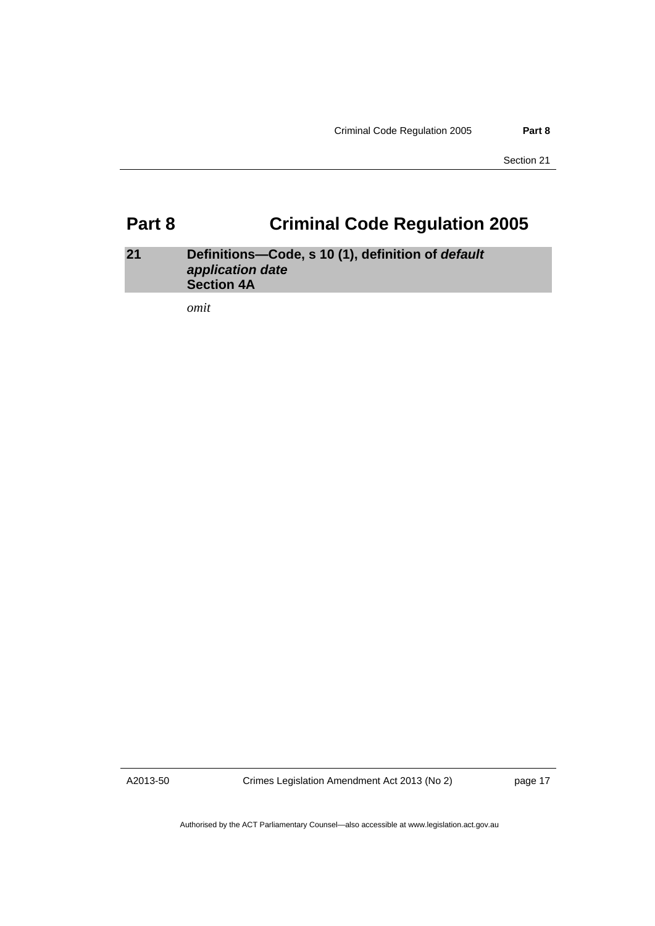Section 21

# <span id="page-20-0"></span>**Part 8 Criminal Code Regulation 2005**

# <span id="page-20-1"></span>**21 Definitions—Code, s 10 (1), definition of** *default application date* **Section 4A**

*omit* 

A2013-50

Crimes Legislation Amendment Act 2013 (No 2)

page 17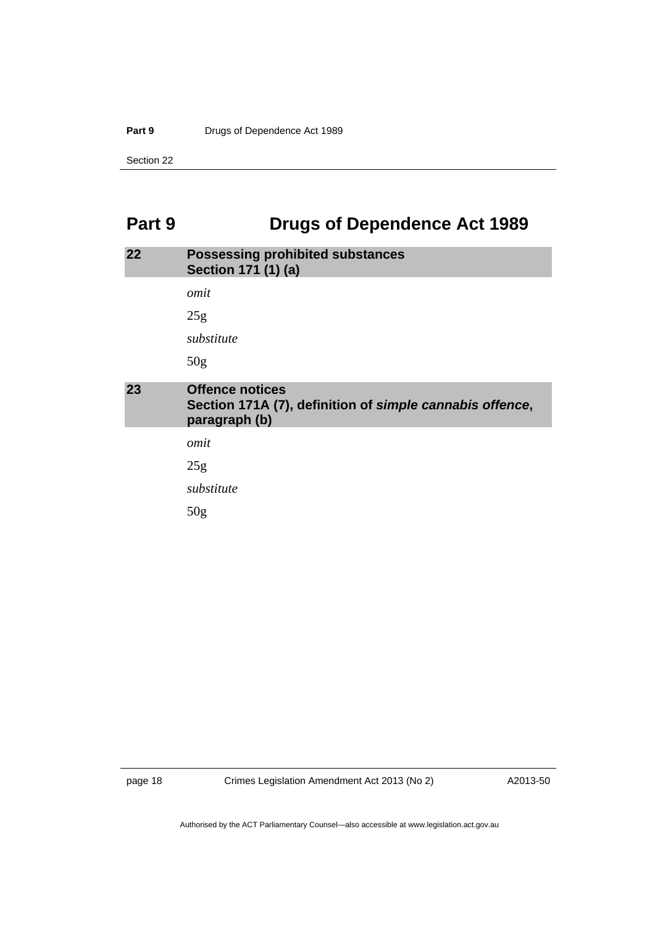#### Part 9 **Drugs of Dependence Act 1989**

Section 22

# <span id="page-21-0"></span>Part 9 **Drugs of Dependence Act 1989**

<span id="page-21-2"></span><span id="page-21-1"></span>

| 22 | <b>Possessing prohibited substances</b><br>Section 171 (1) (a)                                      |
|----|-----------------------------------------------------------------------------------------------------|
|    | omit                                                                                                |
|    | 25g                                                                                                 |
|    | substitute                                                                                          |
|    | 50 <sub>g</sub>                                                                                     |
| 23 | <b>Offence notices</b><br>Section 171A (7), definition of simple cannabis offence,<br>paragraph (b) |
|    | omit                                                                                                |
|    | 25g                                                                                                 |
|    | substitute                                                                                          |
|    | 50g                                                                                                 |

A2013-50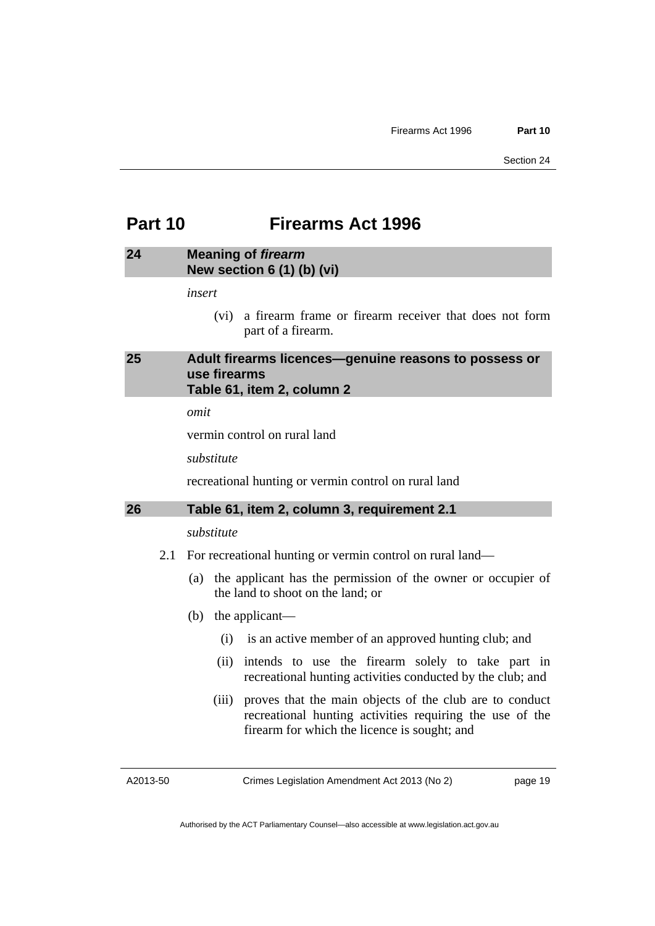# <span id="page-22-0"></span>**Part 10 Firearms Act 1996**

## <span id="page-22-1"></span>**24 Meaning of** *firearm*  **New section 6 (1) (b) (vi)**

*insert* 

 (vi) a firearm frame or firearm receiver that does not form part of a firearm.

## <span id="page-22-2"></span>**25 Adult firearms licences—genuine reasons to possess or use firearms Table 61, item 2, column 2**

*omit* 

vermin control on rural land

*substitute* 

recreational hunting or vermin control on rural land

#### <span id="page-22-3"></span>**26 Table 61, item 2, column 3, requirement 2.1**

#### *substitute*

- 2.1 For recreational hunting or vermin control on rural land—
	- (a) the applicant has the permission of the owner or occupier of the land to shoot on the land; or
	- (b) the applicant—
		- (i) is an active member of an approved hunting club; and
		- (ii) intends to use the firearm solely to take part in recreational hunting activities conducted by the club; and
		- (iii) proves that the main objects of the club are to conduct recreational hunting activities requiring the use of the firearm for which the licence is sought; and

A2013-50

Crimes Legislation Amendment Act 2013 (No 2)

page 19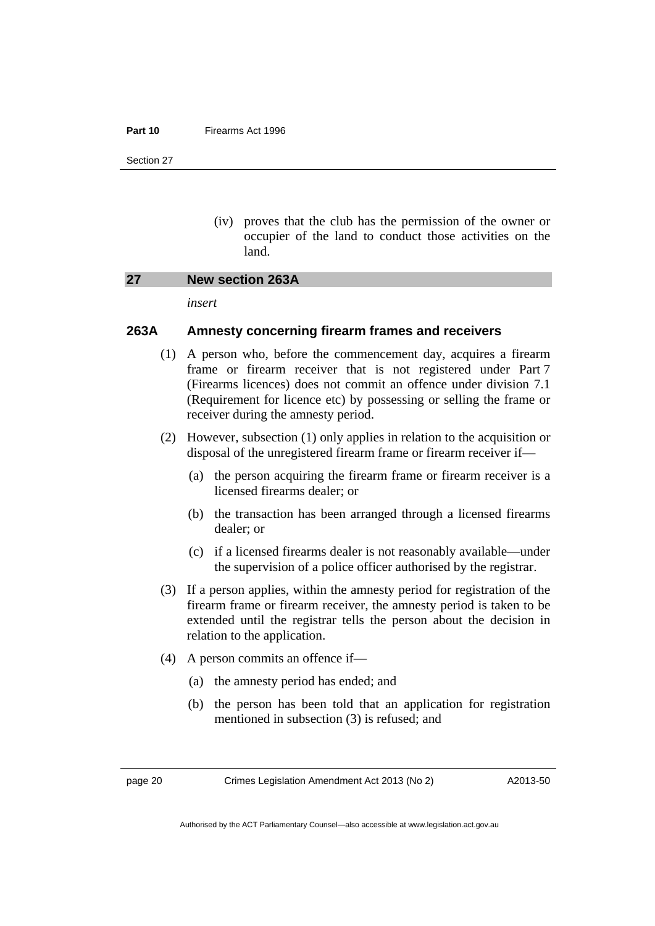#### **Part 10** Firearms Act 1996

Section 27

(iv) proves that the club has the permission of the owner or occupier of the land to conduct those activities on the land.

#### <span id="page-23-0"></span>**27 New section 263A**

*insert* 

### **263A Amnesty concerning firearm frames and receivers**

- (1) A person who, before the commencement day, acquires a firearm frame or firearm receiver that is not registered under Part 7 (Firearms licences) does not commit an offence under division 7.1 (Requirement for licence etc) by possessing or selling the frame or receiver during the amnesty period.
- (2) However, subsection (1) only applies in relation to the acquisition or disposal of the unregistered firearm frame or firearm receiver if—
	- (a) the person acquiring the firearm frame or firearm receiver is a licensed firearms dealer; or
	- (b) the transaction has been arranged through a licensed firearms dealer; or
	- (c) if a licensed firearms dealer is not reasonably available—under the supervision of a police officer authorised by the registrar.
- (3) If a person applies, within the amnesty period for registration of the firearm frame or firearm receiver, the amnesty period is taken to be extended until the registrar tells the person about the decision in relation to the application.
- (4) A person commits an offence if—
	- (a) the amnesty period has ended; and
	- (b) the person has been told that an application for registration mentioned in subsection (3) is refused; and

page 20 Crimes Legislation Amendment Act 2013 (No 2)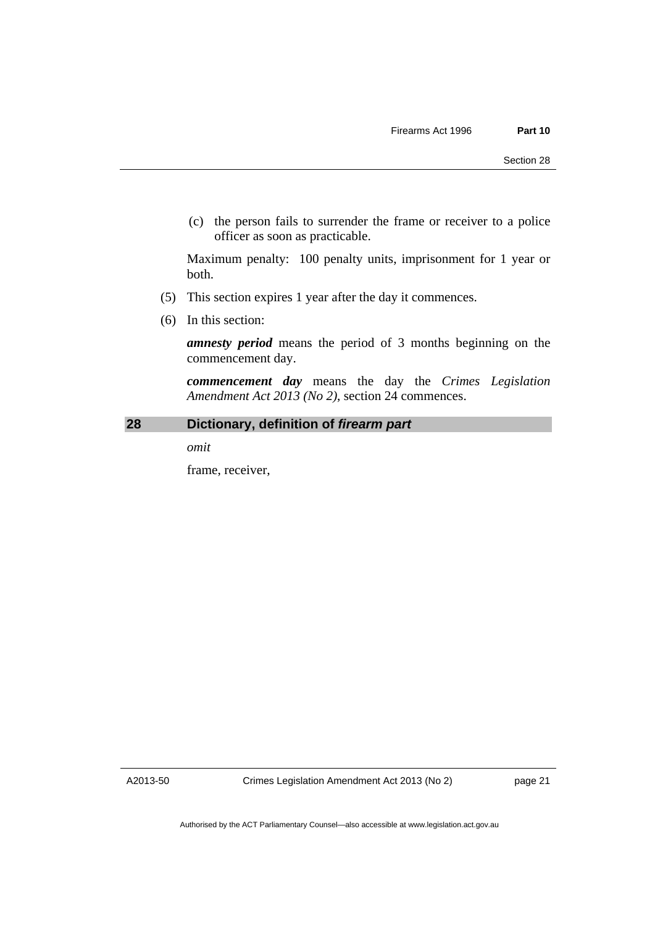(c) the person fails to surrender the frame or receiver to a police officer as soon as practicable.

Maximum penalty: 100 penalty units, imprisonment for 1 year or both.

- (5) This section expires 1 year after the day it commences.
- (6) In this section:

*amnesty period* means the period of 3 months beginning on the commencement day.

*commencement day* means the day the *Crimes Legislation Amendment Act 2013 (No 2)*, section 24 commences.

### <span id="page-24-0"></span>**28 Dictionary, definition of** *firearm part*

*omit* 

frame, receiver,

A2013-50

Crimes Legislation Amendment Act 2013 (No 2)